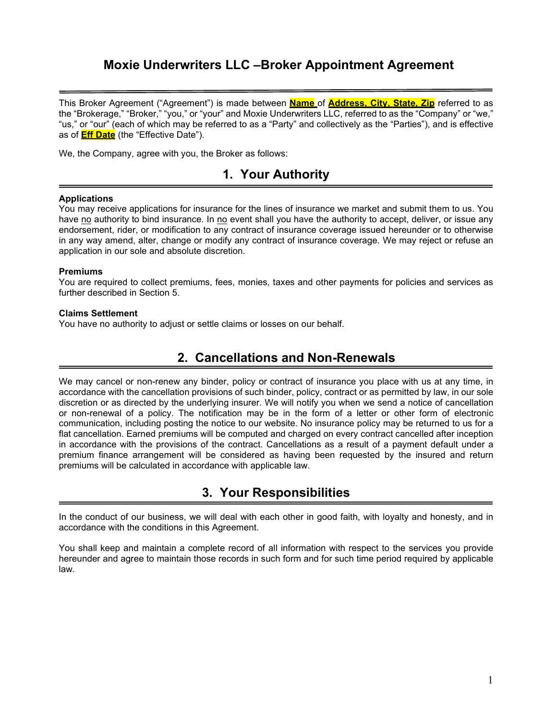## **Moxie Underwriters LLC –Broker Appointment Agreement**

This Broker Agreement ("Agreement") is made between **Name** of **Address, City, State, Zip** referred to as the "Brokerage," "Broker," "you," or "your" and Moxie Underwriters LLC, referred to as the "Company" or "we," "us," or "our" (each of which may be referred to as a "Party" and collectively as the "Parties"), and is effective as of **Eff Date** (the "Effective Date").

We, the Company, agree with you, the Broker as follows:

### **1. Your Authority**

#### **Applications**

You may receive applications for insurance for the lines of insurance we market and submit them to us. You have no authority to bind insurance. In no event shall you have the authority to accept, deliver, or issue any endorsement, rider, or modification to any contract of insurance coverage issued hereunder or to otherwise in any way amend, alter, change or modify any contract of insurance coverage. We may reject or refuse an application in our sole and absolute discretion.

#### **Premiums**

You are required to collect premiums, fees, monies, taxes and other payments for policies and services as further described in Section 5.

#### **Claims Settlement**

You have no authority to adjust or settle claims or losses on our behalf.

### **2. Cancellations and Non-Renewals**

We may cancel or non-renew any binder, policy or contract of insurance you place with us at any time, in accordance with the cancellation provisions of such binder, policy, contract or as permitted by law, in our sole discretion or as directed by the underlying insurer. We will notify you when we send a notice of cancellation or non-renewal of a policy. The notification may be in the form of a letter or other form of electronic communication, including posting the notice to our website. No insurance policy may be returned to us for a flat cancellation. Earned premiums will be computed and charged on every contract cancelled after inception in accordance with the provisions of the contract. Cancellations as a result of a payment default under a premium finance arrangement will be considered as having been requested by the insured and return premiums will be calculated in accordance with applicable law.

### **3. Your Responsibilities**

In the conduct of our business, we will deal with each other in good faith, with loyalty and honesty, and in accordance with the conditions in this Agreement.

You shall keep and maintain a complete record of all information with respect to the services you provide hereunder and agree to maintain those records in such form and for such time period required by applicable law.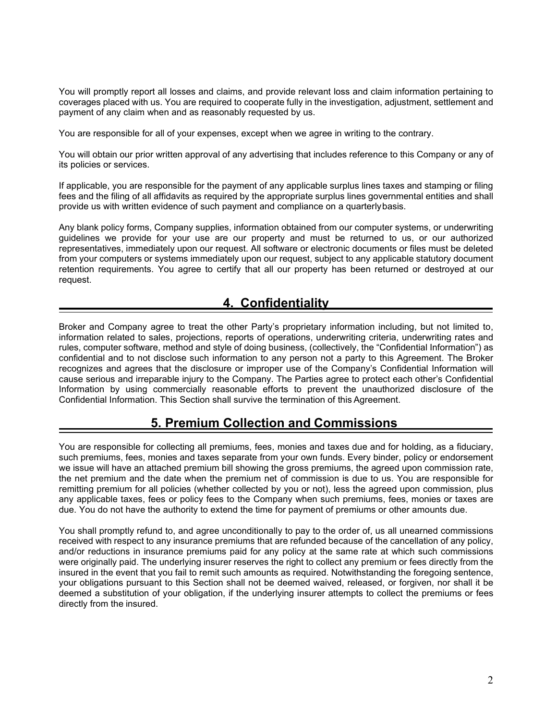You will promptly report all losses and claims, and provide relevant loss and claim information pertaining to coverages placed with us. You are required to cooperate fully in the investigation, adjustment, settlement and payment of any claim when and as reasonably requested by us.

You are responsible for all of your expenses, except when we agree in writing to the contrary.

You will obtain our prior written approval of any advertising that includes reference to this Company or any of its policies or services.

If applicable, you are responsible for the payment of any applicable surplus lines taxes and stamping or filing fees and the filing of all affidavits as required by the appropriate surplus lines governmental entities and shall provide us with written evidence of such payment and compliance on a quarterlybasis.

Any blank policy forms, Company supplies, information obtained from our computer systems, or underwriting guidelines we provide for your use are our property and must be returned to us, or our authorized representatives, immediately upon our request. All software or electronic documents or files must be deleted from your computers or systems immediately upon our request, subject to any applicable statutory document retention requirements. You agree to certify that all our property has been returned or destroyed at our request.

### **4. Confidentiality**

Broker and Company agree to treat the other Party's proprietary information including, but not limited to, information related to sales, projections, reports of operations, underwriting criteria, underwriting rates and rules, computer software, method and style of doing business, (collectively, the "Confidential Information") as confidential and to not disclose such information to any person not a party to this Agreement. The Broker recognizes and agrees that the disclosure or improper use of the Company's Confidential Information will cause serious and irreparable injury to the Company. The Parties agree to protect each other's Confidential Information by using commercially reasonable efforts to prevent the unauthorized disclosure of the Confidential Information. This Section shall survive the termination of this Agreement.

## **5. Premium Collection and Commissions**

You are responsible for collecting all premiums, fees, monies and taxes due and for holding, as a fiduciary, such premiums, fees, monies and taxes separate from your own funds. Every binder, policy or endorsement we issue will have an attached premium bill showing the gross premiums, the agreed upon commission rate, the net premium and the date when the premium net of commission is due to us. You are responsible for remitting premium for all policies (whether collected by you or not), less the agreed upon commission, plus any applicable taxes, fees or policy fees to the Company when such premiums, fees, monies or taxes are due. You do not have the authority to extend the time for payment of premiums or other amounts due.

You shall promptly refund to, and agree unconditionally to pay to the order of, us all unearned commissions received with respect to any insurance premiums that are refunded because of the cancellation of any policy, and/or reductions in insurance premiums paid for any policy at the same rate at which such commissions were originally paid. The underlying insurer reserves the right to collect any premium or fees directly from the insured in the event that you fail to remit such amounts as required. Notwithstanding the foregoing sentence, your obligations pursuant to this Section shall not be deemed waived, released, or forgiven, nor shall it be deemed a substitution of your obligation, if the underlying insurer attempts to collect the premiums or fees directly from the insured.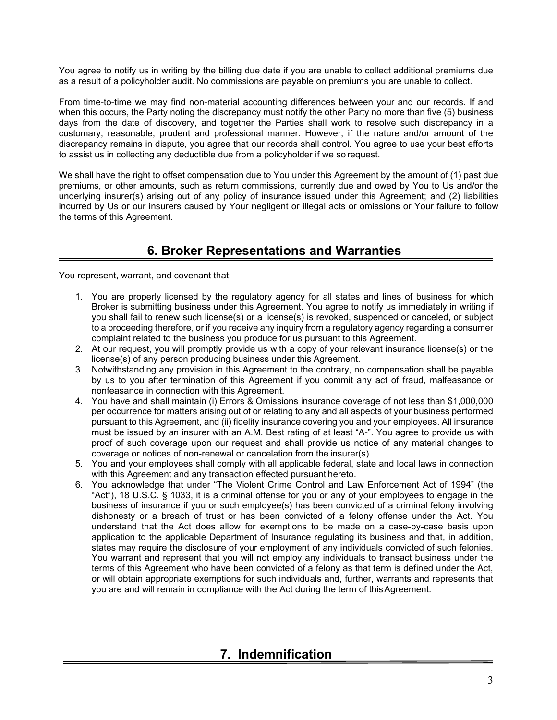You agree to notify us in writing by the billing due date if you are unable to collect additional premiums due as a result of a policyholder audit. No commissions are payable on premiums you are unable to collect.

From time-to-time we may find non-material accounting differences between your and our records. If and when this occurs, the Party noting the discrepancy must notify the other Party no more than five (5) business days from the date of discovery, and together the Parties shall work to resolve such discrepancy in a customary, reasonable, prudent and professional manner. However, if the nature and/or amount of the discrepancy remains in dispute, you agree that our records shall control. You agree to use your best efforts to assist us in collecting any deductible due from a policyholder if we so request.

We shall have the right to offset compensation due to You under this Agreement by the amount of (1) past due premiums, or other amounts, such as return commissions, currently due and owed by You to Us and/or the underlying insurer(s) arising out of any policy of insurance issued under this Agreement; and (2) liabilities incurred by Us or our insurers caused by Your negligent or illegal acts or omissions or Your failure to follow the terms of this Agreement.

# **6. Broker Representations and Warranties**

You represent, warrant, and covenant that:

- 1. You are properly licensed by the regulatory agency for all states and lines of business for which Broker is submitting business under this Agreement. You agree to notify us immediately in writing if you shall fail to renew such license(s) or a license(s) is revoked, suspended or canceled, or subject to a proceeding therefore, or if you receive any inquiry from a regulatory agency regarding a consumer complaint related to the business you produce for us pursuant to this Agreement.
- 2. At our request, you will promptly provide us with a copy of your relevant insurance license(s) or the license(s) of any person producing business under this Agreement.
- 3. Notwithstanding any provision in this Agreement to the contrary, no compensation shall be payable by us to you after termination of this Agreement if you commit any act of fraud, malfeasance or nonfeasance in connection with this Agreement.
- 4. You have and shall maintain (i) Errors & Omissions insurance coverage of not less than \$1,000,000 per occurrence for matters arising out of or relating to any and all aspects of your business performed pursuant to this Agreement, and (ii) fidelity insurance covering you and your employees. All insurance must be issued by an insurer with an A.M. Best rating of at least "A-". You agree to provide us with proof of such coverage upon our request and shall provide us notice of any material changes to coverage or notices of non-renewal or cancelation from the insurer(s).
- 5. You and your employees shall comply with all applicable federal, state and local laws in connection with this Agreement and any transaction effected pursuant hereto.
- 6. You acknowledge that under "The Violent Crime Control and Law Enforcement Act of 1994" (the "Act"), 18 U.S.C. § 1033, it is a criminal offense for you or any of your employees to engage in the business of insurance if you or such employee(s) has been convicted of a criminal felony involving dishonesty or a breach of trust or has been convicted of a felony offense under the Act. You understand that the Act does allow for exemptions to be made on a case-by-case basis upon application to the applicable Department of Insurance regulating its business and that, in addition, states may require the disclosure of your employment of any individuals convicted of such felonies. You warrant and represent that you will not employ any individuals to transact business under the terms of this Agreement who have been convicted of a felony as that term is defined under the Act, or will obtain appropriate exemptions for such individuals and, further, warrants and represents that you are and will remain in compliance with the Act during the term of this Agreement.

### **7. Indemnification**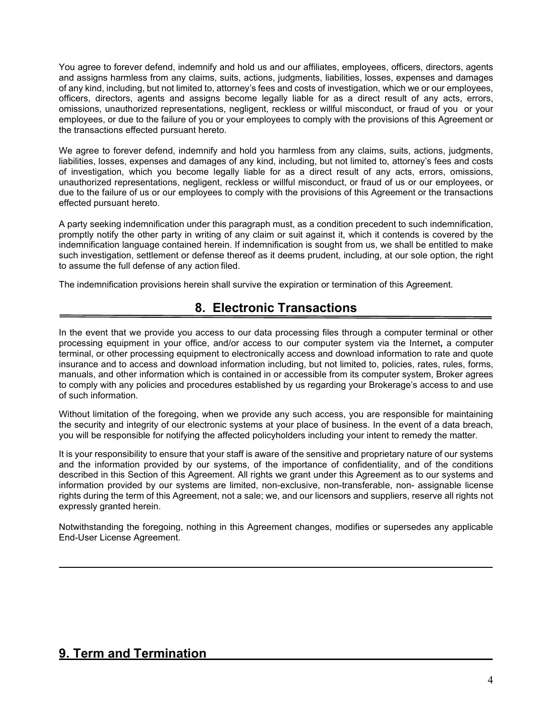You agree to forever defend, indemnify and hold us and our affiliates, employees, officers, directors, agents and assigns harmless from any claims, suits, actions, judgments, liabilities, losses, expenses and damages of any kind, including, but not limited to, attorney's fees and costs of investigation, which we or our employees, officers, directors, agents and assigns become legally liable for as a direct result of any acts, errors, omissions, unauthorized representations, negligent, reckless or willful misconduct, or fraud of you or your employees, or due to the failure of you or your employees to comply with the provisions of this Agreement or the transactions effected pursuant hereto.

We agree to forever defend, indemnify and hold you harmless from any claims, suits, actions, judgments, liabilities, losses, expenses and damages of any kind, including, but not limited to, attorney's fees and costs of investigation, which you become legally liable for as a direct result of any acts, errors, omissions, unauthorized representations, negligent, reckless or willful misconduct, or fraud of us or our employees, or due to the failure of us or our employees to comply with the provisions of this Agreement or the transactions effected pursuant hereto.

A party seeking indemnification under this paragraph must, as a condition precedent to such indemnification, promptly notify the other party in writing of any claim or suit against it, which it contends is covered by the indemnification language contained herein. If indemnification is sought from us, we shall be entitled to make such investigation, settlement or defense thereof as it deems prudent, including, at our sole option, the right to assume the full defense of any action filed.

The indemnification provisions herein shall survive the expiration or termination of this Agreement.

## **8. Electronic Transactions**

In the event that we provide you access to our data processing files through a computer terminal or other processing equipment in your office, and/or access to our computer system via the Internet**,** a computer terminal, or other processing equipment to electronically access and download information to rate and quote insurance and to access and download information including, but not limited to, policies, rates, rules, forms, manuals, and other information which is contained in or accessible from its computer system, Broker agrees to comply with any policies and procedures established by us regarding your Brokerage's access to and use of such information.

Without limitation of the foregoing, when we provide any such access, you are responsible for maintaining the security and integrity of our electronic systems at your place of business. In the event of a data breach, you will be responsible for notifying the affected policyholders including your intent to remedy the matter.

It is your responsibility to ensure that your staff is aware of the sensitive and proprietary nature of our systems and the information provided by our systems, of the importance of confidentiality, and of the conditions described in this Section of this Agreement. All rights we grant under this Agreement as to our systems and information provided by our systems are limited, non-exclusive, non-transferable, non- assignable license rights during the term of this Agreement, not a sale; we, and our licensors and suppliers, reserve all rights not expressly granted herein.

Notwithstanding the foregoing, nothing in this Agreement changes, modifies or supersedes any applicable End-User License Agreement.

### **9. Term and Termination**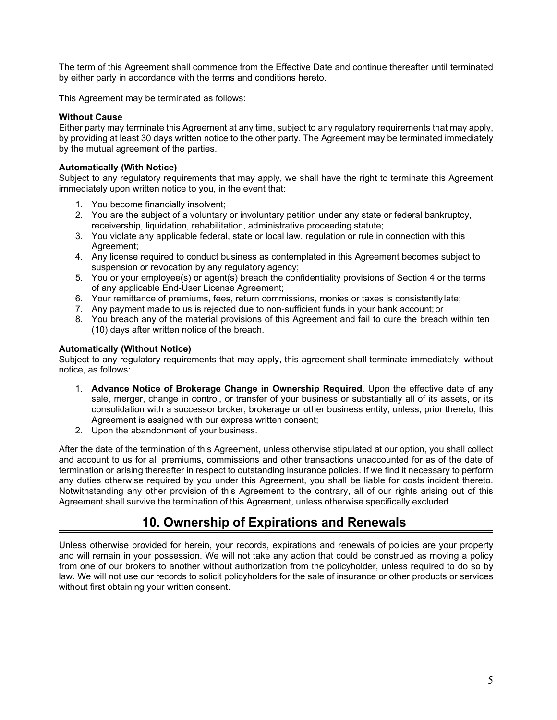The term of this Agreement shall commence from the Effective Date and continue thereafter until terminated by either party in accordance with the terms and conditions hereto.

This Agreement may be terminated as follows:

### **Without Cause**

Either party may terminate this Agreement at any time, subject to any regulatory requirements that may apply, by providing at least 30 days written notice to the other party. The Agreement may be terminated immediately by the mutual agreement of the parties.

### **Automatically (With Notice)**

Subject to any regulatory requirements that may apply, we shall have the right to terminate this Agreement immediately upon written notice to you, in the event that:

- 1. You become financially insolvent;
- 2. You are the subject of a voluntary or involuntary petition under any state or federal bankruptcy, receivership, liquidation, rehabilitation, administrative proceeding statute;
- 3. You violate any applicable federal, state or local law, regulation or rule in connection with this Agreement;
- 4. Any license required to conduct business as contemplated in this Agreement becomes subject to suspension or revocation by any regulatory agency;
- 5. You or your employee(s) or agent(s) breach the confidentiality provisions of Section 4 or the terms of any applicable End-User License Agreement;
- 6. Your remittance of premiums, fees, return commissions, monies or taxes is consistently late;
- 7. Any payment made to us is rejected due to non-sufficient funds in your bank account; or
- 8. You breach any of the material provisions of this Agreement and fail to cure the breach within ten (10) days after written notice of the breach.

### **Automatically (Without Notice)**

Subject to any regulatory requirements that may apply, this agreement shall terminate immediately, without notice, as follows:

- 1. **Advance Notice of Brokerage Change in Ownership Required**. Upon the effective date of any sale, merger, change in control, or transfer of your business or substantially all of its assets, or its consolidation with a successor broker, brokerage or other business entity, unless, prior thereto, this Agreement is assigned with our express written consent;
- 2. Upon the abandonment of your business.

After the date of the termination of this Agreement, unless otherwise stipulated at our option, you shall collect and account to us for all premiums, commissions and other transactions unaccounted for as of the date of termination or arising thereafter in respect to outstanding insurance policies. If we find it necessary to perform any duties otherwise required by you under this Agreement, you shall be liable for costs incident thereto. Notwithstanding any other provision of this Agreement to the contrary, all of our rights arising out of this Agreement shall survive the termination of this Agreement, unless otherwise specifically excluded.

### **10. Ownership of Expirations and Renewals**

Unless otherwise provided for herein, your records, expirations and renewals of policies are your property and will remain in your possession. We will not take any action that could be construed as moving a policy from one of our brokers to another without authorization from the policyholder, unless required to do so by law. We will not use our records to solicit policyholders for the sale of insurance or other products or services without first obtaining your written consent.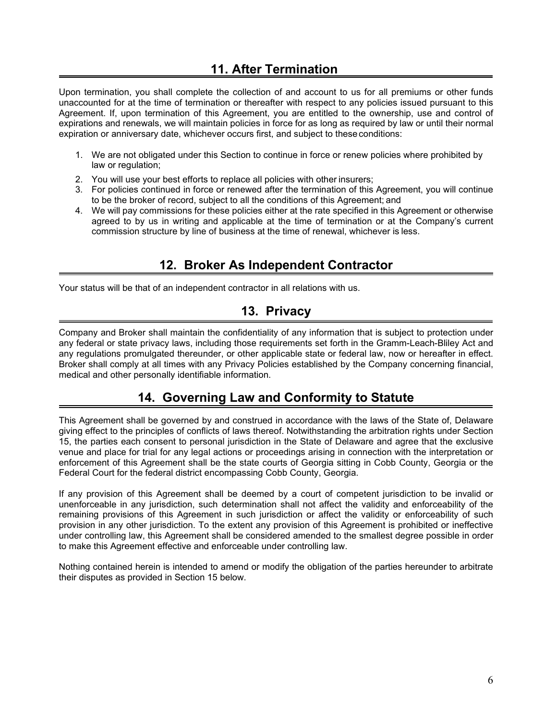## **11. After Termination**

Upon termination, you shall complete the collection of and account to us for all premiums or other funds unaccounted for at the time of termination or thereafter with respect to any policies issued pursuant to this Agreement. If, upon termination of this Agreement, you are entitled to the ownership, use and control of expirations and renewals, we will maintain policies in force for as long as required by law or until their normal expiration or anniversary date, whichever occurs first, and subject to theseconditions:

- 1. We are not obligated under this Section to continue in force or renew policies where prohibited by law or regulation;
- 2. You will use your best efforts to replace all policies with other insurers;
- 3. For policies continued in force or renewed after the termination of this Agreement, you will continue to be the broker of record, subject to all the conditions of this Agreement; and
- 4. We will pay commissions for these policies either at the rate specified in this Agreement or otherwise agreed to by us in writing and applicable at the time of termination or at the Company's current commission structure by line of business at the time of renewal, whichever is less.

### **12. Broker As Independent Contractor**

Your status will be that of an independent contractor in all relations with us.

## **13. Privacy**

Company and Broker shall maintain the confidentiality of any information that is subject to protection under any federal or state privacy laws, including those requirements set forth in the Gramm-Leach-Bliley Act and any regulations promulgated thereunder, or other applicable state or federal law, now or hereafter in effect. Broker shall comply at all times with any Privacy Policies established by the Company concerning financial, medical and other personally identifiable information.

## **14. Governing Law and Conformity to Statute**

This Agreement shall be governed by and construed in accordance with the laws of the State of, Delaware giving effect to the principles of conflicts of laws thereof. Notwithstanding the arbitration rights under Section 15, the parties each consent to personal jurisdiction in the State of Delaware and agree that the exclusive venue and place for trial for any legal actions or proceedings arising in connection with the interpretation or enforcement of this Agreement shall be the state courts of Georgia sitting in Cobb County, Georgia or the Federal Court for the federal district encompassing Cobb County, Georgia.

If any provision of this Agreement shall be deemed by a court of competent jurisdiction to be invalid or unenforceable in any jurisdiction, such determination shall not affect the validity and enforceability of the remaining provisions of this Agreement in such jurisdiction or affect the validity or enforceability of such provision in any other jurisdiction. To the extent any provision of this Agreement is prohibited or ineffective under controlling law, this Agreement shall be considered amended to the smallest degree possible in order to make this Agreement effective and enforceable under controlling law.

Nothing contained herein is intended to amend or modify the obligation of the parties hereunder to arbitrate their disputes as provided in Section 15 below.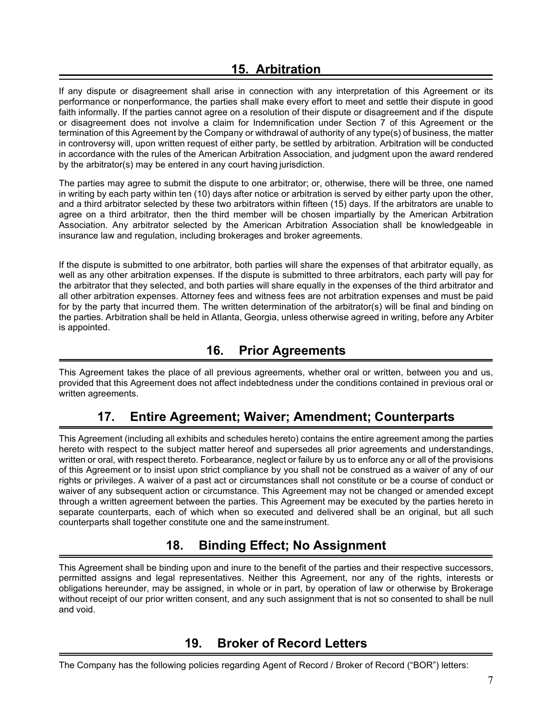### **15. Arbitration**

If any dispute or disagreement shall arise in connection with any interpretation of this Agreement or its performance or nonperformance, the parties shall make every effort to meet and settle their dispute in good faith informally. If the parties cannot agree on a resolution of their dispute or disagreement and if the dispute or disagreement does not involve a claim for Indemnification under Section 7 of this Agreement or the termination of this Agreement by the Company or withdrawal of authority of any type(s) of business, the matter in controversy will, upon written request of either party, be settled by arbitration. Arbitration will be conducted in accordance with the rules of the American Arbitration Association, and judgment upon the award rendered by the arbitrator(s) may be entered in any court having jurisdiction.

The parties may agree to submit the dispute to one arbitrator; or, otherwise, there will be three, one named in writing by each party within ten (10) days after notice or arbitration is served by either party upon the other, and a third arbitrator selected by these two arbitrators within fifteen (15) days. If the arbitrators are unable to agree on a third arbitrator, then the third member will be chosen impartially by the American Arbitration Association. Any arbitrator selected by the American Arbitration Association shall be knowledgeable in insurance law and regulation, including brokerages and broker agreements.

If the dispute is submitted to one arbitrator, both parties will share the expenses of that arbitrator equally, as well as any other arbitration expenses. If the dispute is submitted to three arbitrators, each party will pay for the arbitrator that they selected, and both parties will share equally in the expenses of the third arbitrator and all other arbitration expenses. Attorney fees and witness fees are not arbitration expenses and must be paid for by the party that incurred them. The written determination of the arbitrator(s) will be final and binding on the parties. Arbitration shall be held in Atlanta, Georgia, unless otherwise agreed in writing, before any Arbiter is appointed.

### **16. Prior Agreements**

This Agreement takes the place of all previous agreements, whether oral or written, between you and us, provided that this Agreement does not affect indebtedness under the conditions contained in previous oral or written agreements.

# **17. Entire Agreement; Waiver; Amendment; Counterparts**

This Agreement (including all exhibits and schedules hereto) contains the entire agreement among the parties hereto with respect to the subject matter hereof and supersedes all prior agreements and understandings, written or oral, with respect thereto. Forbearance, neglect or failure by us to enforce any or all of the provisions of this Agreement or to insist upon strict compliance by you shall not be construed as a waiver of any of our rights or privileges. A waiver of a past act or circumstances shall not constitute or be a course of conduct or waiver of any subsequent action or circumstance. This Agreement may not be changed or amended except through a written agreement between the parties. This Agreement may be executed by the parties hereto in separate counterparts, each of which when so executed and delivered shall be an original, but all such counterparts shall together constitute one and the sameinstrument.

# **18. Binding Effect; No Assignment**

This Agreement shall be binding upon and inure to the benefit of the parties and their respective successors, permitted assigns and legal representatives. Neither this Agreement, nor any of the rights, interests or obligations hereunder, may be assigned, in whole or in part, by operation of law or otherwise by Brokerage without receipt of our prior written consent, and any such assignment that is not so consented to shall be null and void.

## **19. Broker of Record Letters**

The Company has the following policies regarding Agent of Record / Broker of Record ("BOR") letters: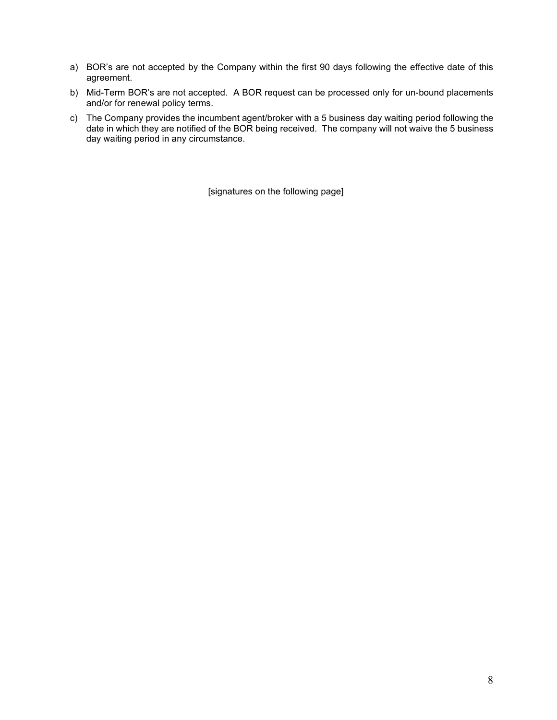- a) BOR's are not accepted by the Company within the first 90 days following the effective date of this agreement.
- b) Mid-Term BOR's are not accepted. A BOR request can be processed only for un-bound placements and/or for renewal policy terms.
- c) The Company provides the incumbent agent/broker with a 5 business day waiting period following the date in which they are notified of the BOR being received. The company will not waive the 5 business day waiting period in any circumstance.

[signatures on the following page]